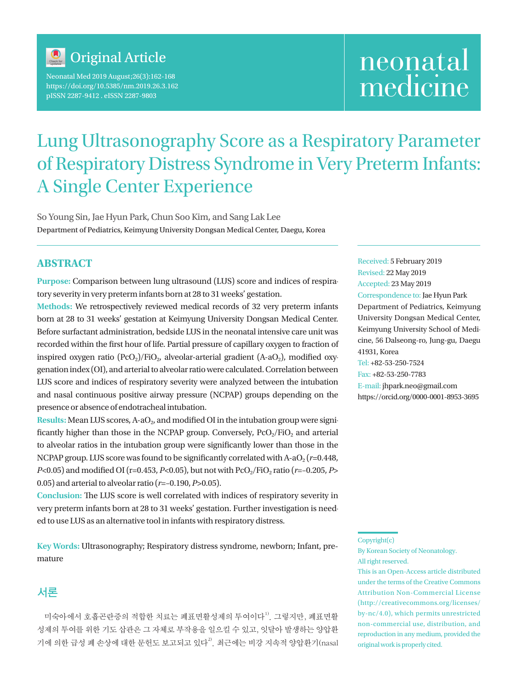

Neonatal Med 2019 August;26(3):162-168 https://doi.org/10.5385/nm.2019.26.3.162 pISSN 2287-9412 . eISSN 2287-9803

# neonatal medicine

## Lung Ultrasonography Score as a Respiratory Parameter of Respiratory Distress Syndrome in Very Preterm Infants: A Single Center Experience

So Young Sin, Jae Hyun Park, Chun Soo Kim, and Sang Lak Lee Department of Pediatrics, Keimyung University Dongsan Medical Center, Daegu, Korea

#### **ABSTRACT**

**Purpose:** Comparison between lung ultrasound (LUS) score and indices of respiratory severity in very preterm infants born at 28 to 31 weeks' gestation.

**Methods:** We retrospectively reviewed medical records of 32 very preterm infants born at 28 to 31 weeks' gestation at Keimyung University Dongsan Medical Center. Before surfactant administration, bedside LUS in the neonatal intensive care unit was recorded within the first hour of life. Partial pressure of capillary oxygen to fraction of inspired oxygen ratio  $(PCO_2)/FiO_2$ , alveolar-arterial gradient  $(A-aO_2)$ , modified oxygenation index (OI), and arterial to alveolar ratio were calculated. Correlation between LUS score and indices of respiratory severity were analyzed between the intubation and nasal continuous positive airway pressure (NCPAP) groups depending on the presence or absence of endotracheal intubation.

**Results:** Mean LUS scores, A-aO<sub>2</sub>, and modified OI in the intubation group were significantly higher than those in the NCPAP group. Conversely,  $PcO<sub>2</sub>/FiO<sub>2</sub>$  and arterial to alveolar ratios in the intubation group were significantly lower than those in the NCPAP group. LUS score was found to be significantly correlated with  $A-aO<sub>2</sub>$  ( $r=0.448$ , *P*<0.05) and modified OI (r=0.453, *P*<0.05), but not with PcO<sub>2</sub>/FiO<sub>2</sub> ratio (*r*=-0.205, *P*> 0.05) and arterial to alveolar ratio (*r*=–0.190, *P*>0.05).

**Conclusion:** The LUS score is well correlated with indices of respiratory severity in very preterm infants born at 28 to 31 weeks' gestation. Further investigation is needed to use LUS as an alternative tool in infants with respiratory distress.

**Key Words:** Ultrasonography; Respiratory distress syndrome, newborn; Infant, premature

### 서론

미숙아에서 호흡곤란증의 적합한 치료는 폐표면활성제의 투여이다<sup>1)</sup>. 그렇지만, 폐표면활 성제의 투여를 위한 기도 삽관은 그 자체로 부작용을 일으킬 수 있고, 잇달아 발생하는 양압환 기에 의한 급성 폐 손상에 대한 문헌도 보고되고 있다<sup>2)</sup>. 최근에는 비강 지속적 양압환기(nasal Received: 5 February 2019 Revised: 22 May 2019 Accepted: 23 May 2019 Correspondence to: Jae Hyun Park Department of Pediatrics, Keimyung University Dongsan Medical Center, Keimyung University School of Medicine, 56 Dalseong-ro, Jung-gu, Daegu 41931, Korea Tel: +82-53-250-7524

Fax: +82-53-250-7783 E-mail: jhpark.neo@gmail.com https://orcid.org/0000-0001-8953-3695

This is an Open-Access article distributed under the terms of the Creative Commons Attribution Non-Commercial License (http://creativecommons.org/licenses/ by-nc/4.0), which permits unrestricted non-commercial use, distribution, and reproduction in any medium, provided the original work is properly cited.

Copyright(c)

By Korean Society of Neonatology. All right reserved.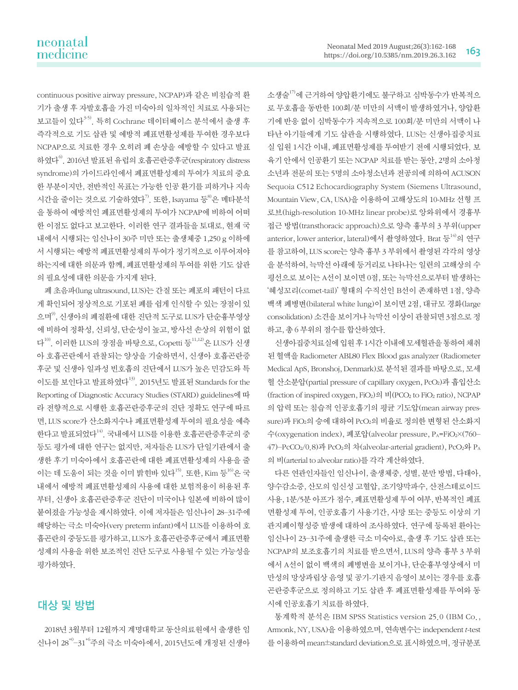continuous positive airway pressure, NCPAP)과 같은 비침습적 환 기가 출생 후 자발호흡을 가진 미숙아의 일차적인 치료로 사용되는 보고들이 있다<sup>3-5)</sup>. 특히 Cochrane 데이터베이스 부석에서 출생 후 즉각적으로 기도 삽관 및 예방적 폐표면활성제를 투여한 경우보다 NCPAP으로 치료한 경우 오히려 폐 손상을 예방할 수 있다고 발표 하였다6). 2016년 발표된 유럽의 호흡곤란증후군(respiratory distress syndrome)의 가이드라인에서 폐표면활성제의 투여가 치료의 중요 한 부분이지만, 전반적인 목표는 가능한 인공 환기를 피하거나 지속 시간을 줄이는 것으로 기술하였다<sup>7)</sup>. 또한, Isayama 등 $8$ 은 메타분석 을 통하여 예방적인 폐표면활성제의 투여가 NCPAP에 비하여 어떠 한 이점도 없다고 보고한다. 이러한 연구 결과들을 토대로, 현재 국 내에서 시행되는 임신나이 30주 미만 또는 출생체중 1,250 g 이하에 서 시행되는 예방적 폐표면활성제의 투여가 정기적으로 이루어져야 하는지에 대한 의문과 함께, 폐표면활성제의 투여를 위한 기도 삽관 의 필요성에 대한 의문을 가지게 된다.

폐 초음파(lung ultrasound, LUS)는 간질 또는 폐포의 패턴이 다르 게 확인되어 정상적으로 기포된 폐를 쉽게 인식할 수 있는 장점이 있 으며<sup>9</sup>, 신생아의 폐질환에 대한 진단적 도구로 LUS가 단순흉부영상 에 비하여 정확성, 신뢰성, 단순성이 높고, 방사선 손상의 위험이 없 다 $10)$ . 이러한 LUS의 장점을 바탕으로, Copetti 등 $11,12$ )은 LUS가 신생 아 호흡곤란에서 관찰되는 양상을 기술하면서, 신생아 호흡곤란증 후군 및 신생아 일과성 빈호흡의 진단에서 LUS가 높은 민감도와 특 이도를 보인다고 발표하였다13). 2015년도 발표된 Standards for the Reporting of Diagnostic Accuracy Studies (STARD) guidelines에 따 라 전향적으로 시행한 호흡곤란증후군의 진단 정확도 연구에 따르 면, LUS score가 산소화지수나 폐표면활성제 투여의 필요성을 예측 한다고 발표되었다<sup>14)</sup>. 국내에서 LUS를 이용한 호흡곤란증후군의 중 등도 평가에 대한 연구는 없지만, 저자들은 LUS가 단일기관에서 출 생한 후기 미숙아에서 호흡곤란에 대한 폐표면활성제의 사용을 줄 이는 데 도움이 되는 것을 이미 밝힌바 있다<sup>15)</sup>. 또한, Kim 등<sup>16)</sup>은 국 내에서 예방적 폐표면활성제의 사용에 대한 보험적용이 허용된 후 부터, 신생아 호흡곤란증후군 진단이 미국이나 일본에 비하여 많이 붙여졌을 가능성을 제시하였다. 이에 저자들은 임신나이 28–31주에 해당하는 극소 미숙아(very preterm infant)에서 LUS를 이용하여 호 흡곤란의 중등도를 평가하고, LUS가 호흡곤란증후군에서 폐표면활 성제의 사용을 위한 보조적인 진단 도구로 사용될 수 있는 가능성을 평가하였다.

### 대상 및 방법

2018년 3월부터 12월까지 계명대학교 동산의료원에서 출생한 임 신나이 28+0–31+6주의 극소 미숙아에서, 2015년도에 개정된 신생아 소생술17)에 근거하여 양압환기에도 불구하고 심박동수가 반복적으 로 무호흡을 동반한 100회/분 미만의 서맥이 발생하였거나, 양압환 기에 반응 없이 심박동수가 지속적으로 100회/분 미만의 서맥이 나 타난 아기들에게 기도 삽관을 시행하였다. LUS는 신생아집중치료 실 입원 1시간 이내, 폐표면활성제를 투여받기 전에 시행되었다. 보 육기 안에서 인공환기 또는 NCPAP 치료를 받는 동안, 2명의 소아청 소년과 전문의 또는 5명의 소아청소년과 전공의에 의하여 ACUSON Sequoia C512 Echocardiography System (Siemens Ultrasound, Mountain View, CA, USA)을 이용하여 고해상도의 10-MHz 선형 프 로브(high-resolution 10-MHz linear probe)로 앙와위에서 경흉부 접근 방법(transthoracic approach)으로 양측 흉부의 3 부위(upper anterior, lower anterior, lateral)에서 촬영하였다. Brat 등<sup>14)</sup>의 연구 를 참고하여, LUS score는 양측 흉부 3 부위에서 촬영된 각각의 영상 을 분석하여, 늑막선 아래에 등거리로 나타나는 일련의 고해상의 수 평선으로 보이는 A선이 보이면 0점, 또는 늑막선으로부터 발생하는 '혜성꼬리(comet-tail)' 형태의 수직선인 B선이 존재하면 1점, 양측 백색 폐병변(bilateral white lung)이 보이면 2점, 대규모 경화(large consolidation) 소견을 보이거나 늑막선 이상이 관찰되면 3점으로 정 하고, 총 6 부위의 점수를 합산하였다.

신생아집중치료실에 입원 후 1시간 이내에 모세혈관을 통하여 채취 된 혈액을 Radiometer ABL80 Flex Blood gas analyzer (Radiometer Medical ApS, Bronshoj, Denmark)로 분석된 결과를 바탕으로, 모세 혈 산소분압(partial pressure of capillary oxygen, PcO2)과 흡입산소 (fraction of inspired oxygen,  $FiO<sub>2</sub>$ )의 비 $(PCO<sub>2</sub>$  to  $FiO<sub>2</sub>$  ratio), NCPAP 의 압력 또는 침습적 인공호흡기의 평균 기도압(mean airway pressure)과 FiO2의 승에 대하여 PcO2의 비율로 정의한 변형된 산소화지 수(oxygenation index), 폐포압(alveolar pressure, PA=FiO2×(760– 47)–PcCO2/0.8)과 PcO2의 차(alveolar-arterial gradient), PcO2와 PA 의 비(arterial to alveolar ratio)를 각각 계산하였다.

다른 연관인자들인 임신나이, 출생체중, 성별, 분만 방법, 다태아, 양수감소증, 산모의 임신성 고혈압, 조기양막파수, 산전스테로이드 사용, 1분/5분 아프가 점수, 폐표면활성제 투여 여부, 반복적인 폐표 면활성제 투여, 인공호흡기 사용기간, 사망 또는 중등도 이상의 기 관지폐이형성증 발생에 대하여 조사하였다. 연구에 등록된 환아는 임신나이 23–31주에 출생한 극소 미숙아로, 출생 후 기도 삽관 또는 NCPAP의 보조호흡기의 치료를 받으면서, LUS의 양측 흉부 3 부위 에서 A선이 없이 백색의 폐병변을 보이거나, 단순흉부영상에서 미 만성의 망상과립상 음영 및 공기-기관지 음영이 보이는 경우를 호흡 곤란증후군으로 정의하고 기도 삽관 후 폐표면활성제를 투여와 동 시에 인공호흡기 치료를 하였다.

통계학적 분석은 IBM SPSS Statistics version 25.0 (IBM Co., Armonk, NY, USA)을 이용하였으며, 연속변수는 independent t-test 를 이용하여 mean±standard deviation으로 표시하였으며, 정규분포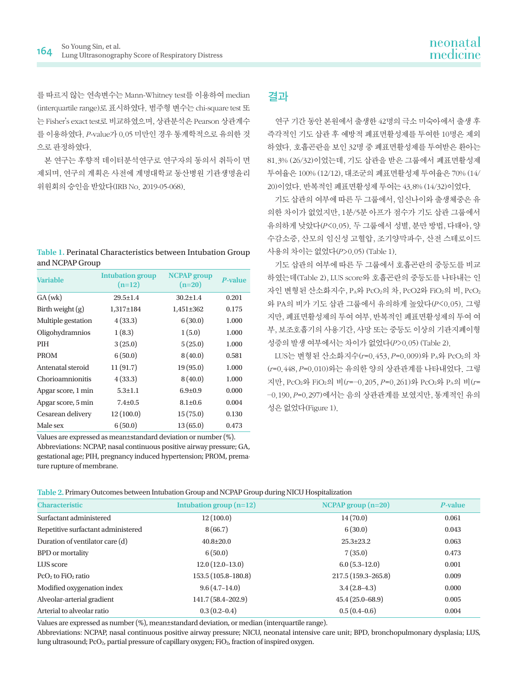를 따르지 않는 연속변수는 Mann-Whitney test를 이용하여 median (interquartile range)로 표시하였다. 범주형 변수는 chi-square test 또 는 Fisher's exact test로 비교하였으며, 상관분석은 Pearson 상관계수 를 이용하였다. P-value가 0.05 미만인 경우 통계학적으로 유의한 것 으로 판정하였다.

본 연구는 후향적 데이터분석연구로 연구자의 동의서 취득이 면 제되며, 연구의 계획은 사전에 계명대학교 동산병원 기관생명윤리 위원회의 승인을 받았다(IRB No. 2019-05-068).

| Table 1. Perinatal Characteristics between Intubation Group |
|-------------------------------------------------------------|
| and NCPAP Group                                             |

| <b>Variable</b>    | <b>Intubation group</b><br>$(n=12)$ | <b>NCPAP</b> group<br>$(n=20)$ | <b>P-value</b> |
|--------------------|-------------------------------------|--------------------------------|----------------|
| $GA$ (wk)          | $29.5 \pm 1.4$                      | $30.2 \pm 1.4$                 | 0.201          |
| Birth weight $(g)$ | 1,317±184                           | $1,451\pm 362$                 | 0.175          |
| Multiple gestation | 4(33.3)                             | 6(30.0)                        | 1.000          |
| Oligohydramnios    | 1(8.3)                              | 1(5.0)                         | 1.000          |
| <b>PIH</b>         | 3(25.0)                             | 5(25.0)                        | 1.000          |
| <b>PROM</b>        | 6(50.0)                             | 8(40.0)                        | 0.581          |
| Antenatal steroid  | 11(91.7)                            | 19(95.0)                       | 1.000          |
| Chorioamnionitis   | 4(33.3)                             | 8(40.0)                        | 1.000          |
| Apgar score, 1 min | $5.3 \pm 1.1$                       | $6.9 \pm 0.9$                  | 0.000          |
| Apgar score, 5 min | $7.4 \pm 0.5$                       | $8.1 \pm 0.6$                  | 0.004          |
| Cesarean delivery  | 12(100.0)                           | 15(75.0)                       | 0.130          |
| Male sex           | 6(50.0)                             | 13(65.0)                       | 0.473          |

Values are expressed as mean±standard deviation or number (%). Abbreviations: NCPAP, nasal continuous positive airway pressure; GA, gestational age; PIH, pregnancy induced hypertension; PROM, premature rupture of membrane.

### 결과

연구 기간 동안 본원에서 출생한 42명의 극소 미숙아에서 출생 후 즉각적인 기도 삽관 후 예방적 폐표면활성제를 투여한 10명은 제외 하였다. 호흡곤란을 보인 32명 중 폐표면활성제를 투여받은 환아는 81.3% (26/32)이었는데, 기도 삽관을 받은 그룹에서 폐표면활성제 투여율은 100% (12/12), 대조군의 폐표면활성제 투여율은 70% (14/ 20)이었다. 반복적인 폐표면활성제 투여는 43.8% (14/32)이었다.

기도 삽관의 여부에 따른 두 그룹에서, 임신나이와 출생체중은 유 의한 차이가 없었지만, 1분/5분 아프가 점수가 기도 삽관 그룹에서 유의하게 낮았다(P<0.05). 두 그룹에서 성별, 분만 방법, 다태아, 양 수감소증, 산모의 임신성 고혈압, 조기양막파수, 산전 스테로이드 사용의 차이는 없었다(P>0.05) (Table 1).

기도 삽관의 여부에 따른 두 그룹에서 호흡곤란의 중등도를 비교 하였는데(Table 2), LUS score와 호흡곤란의 중등도를 나타내는 인 자인 변형된 산소화지수, PA와 PcO2의 차, PcO2와 FiO2의 비, PcO2 와 PA의 비가 기도 삽관 그룹에서 유의하게 높았다(P<0.05). 그렇 지만, 폐표면활성제의 투여 여부, 반복적인 폐표면활성제의 투여 여 부, 보조호흡기의 사용기간, 사망 또는 중등도 이상의 기관지폐이형 성증의 발생 여부에서는 차이가 없었다(P>0.05) (Table 2).

LUS는 변형된 산소화지수(r=0.453, P=0.009)와 PA와 PcO2의 차 (r=0.448, P=0.010)와는 유의한 양의 상관관계를 나타내었다. 그렇 지만, PcO2와 FiO2의 비(r=–0.205, P=0.261)와 PcO2와 PA의 비(r= –0.190, P=0.297)에서는 음의 상관관계를 보였지만, 통계적인 유의 성은 없었다(Figure 1).

| <b>Characteristic</b>              | Intubation group $(n=12)$ | $NCPAP$ group $(n=20)$ | P-value |
|------------------------------------|---------------------------|------------------------|---------|
| Surfactant administered            | 12(100.0)                 | 14(70.0)               | 0.061   |
| Repetitive surfactant administered | 8(66.7)                   | 6(30.0)                | 0.043   |
| Duration of ventilator care (d)    | $40.8 \pm 20.0$           | $25.3 \pm 23.2$        | 0.063   |
| <b>BPD</b> or mortality            | 6(50.0)                   | 7(35.0)                | 0.473   |
| LUS score                          | $12.0(12.0-13.0)$         | $6.0(5.3-12.0)$        | 0.001   |
| $PcO2$ to $FiO2$ ratio             | $153.5(105.8-180.8)$      | 217.5 (159.3-265.8)    | 0.009   |
| Modified oxygenation index         | $9.6(4.7-14.0)$           | $3.4(2.8-4.3)$         | 0.000   |
| Alveolar-arterial gradient         | 141.7 (58.4-202.9)        | $45.4(25.0 - 68.9)$    | 0.005   |
| Arterial to alveolar ratio         | $0.3(0.2-0.4)$            | $0.5(0.4-0.6)$         | 0.004   |

Values are expressed as number (%), mean±standard deviation, or median (interquartile range).

Abbreviations: NCPAP, nasal continuous positive airway pressure; NICU, neonatal intensive care unit; BPD, bronchopulmonary dysplasia; LUS, lung ultrasound; PcO2, partial pressure of capillary oxygen; FiO2, fraction of inspired oxygen.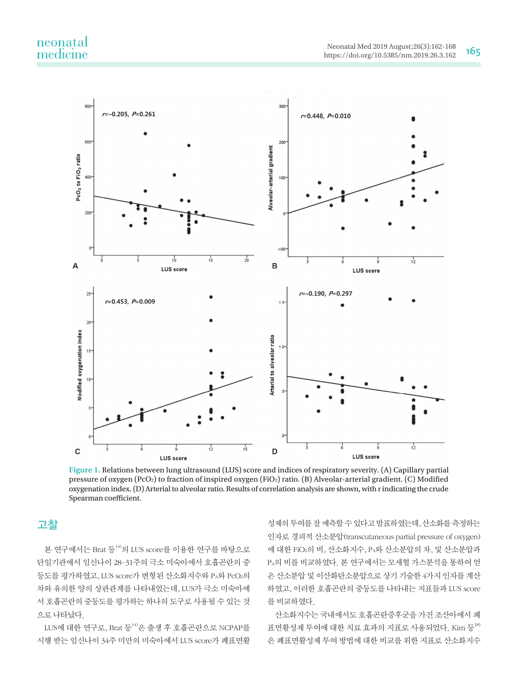# neonatal<br>medicine



**Figure 1.** Relations between lung ultrasound (LUS) score and indices of respiratory severity. (A) Capillary partial pressure of oxygen (PcO<sub>2</sub>) to fraction of inspired oxygen (FiO<sub>2</sub>) ratio. (B) Alveolar-arterial gradient. (C) Modified oxygenation index. (D) Arterial to alveolar ratio. Results of correlation analysis are shown, with r indicating the crude Spearman coefficient.

### 고찰

본 연구에서는 Brat 등<sup>14)</sup>의 LUS score를 이용한 연구를 바탕으로 단일기관에서 임신나이 28–31주의 극소 미숙아에서 호흡곤란의 중 등도를 평가하였고, LUS score가 변형된 산소화지수와 PA와 PcO2의 차와 유의한 양의 상관관계를 나타내었는데, LUS가 극소 미숙아에 서 호흡곤란의 중등도를 평가하는 하나의 도구로 사용될 수 있는 것 으로 나타났다.

 $LUS$ 에 대한 연구로, Brat 등 $^{14}$ 은 출생 후 호흡곤란으로 NCPAP를 시행 받는 임신나이 34주 미만의 미숙아에서 LUS score가 폐표면활

성제의 투여를 잘 예측할 수 있다고 발표하였는데, 산소화를 측정하는 인자로 경피적 산소분압(transcutaneous partial pressure of oxygen) 에 대한 FiO2의 비, 산소화지수, PA와 산소분압의 차, 및 산소분압과 PA의 비를 비교하였다. 본 연구에서는 모세혈 가스분석을 통하여 얻 은 산소분압 및 이산화탄소분압으로 상기 기술한 4가지 인자를 계산 하였고, 이러한 호흡곤란의 중등도를 나타내는 지표들과 LUS score 를 비교하였다.

산소화지수는 국내에서도 호흡곤란증후군을 가진 조산아에서 폐 표면활성제 투여에 대한 치료 효과의 지표로 사용되었다. Kim 등<sup>18)</sup> 은 폐표면활성제 투여 방법에 대한 비교를 위한 지표로 산소화지수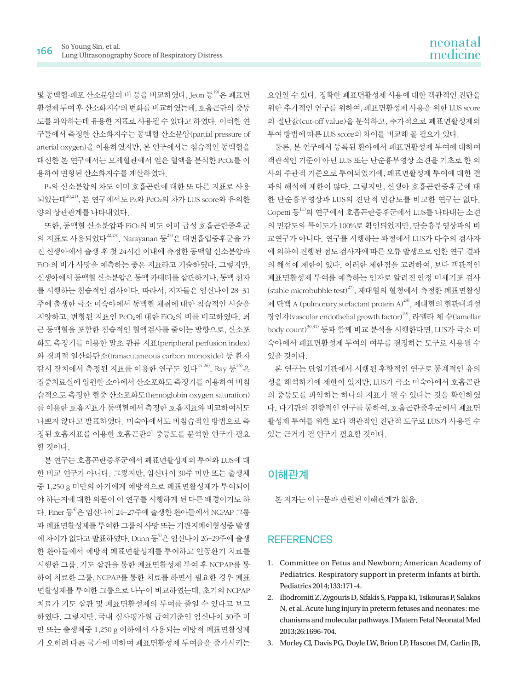및 동맥혈-폐포 산소분압의 비 등을 비교하였다. Jeon 등<sup>19)</sup>은 폐표면 활성제 투여 후 산소화지수의 변화를 비교하였는데, 호흡곤란의 중등 도를 파악하는데 유용한 지표로 사용될 수 있다고 하였다. 이러한 연 구들에서 측정한 산소화지수는 동맥혈 산소분압(partial pressure of arterial oxygen)을 이용하였지만, 본 연구에서는 침습적인 동맥혈을 대신한 본 연구에서는 모세혈관에서 얻은 혈액을 분석한 PcO2를 이 용하여 변형된 산소화지수를 계산하였다.

PA와 산소분압의 차도 이미 호흡곤란에 대한 또 다른 지표로 사용 되었는데20,21), 본 연구에서도 PA와 PcO2의 차가 LUS score와 유의한 양의 상관관계를 나타내었다.

또한, 동맥혈 산소분압과 FiO2의 비도 이미 급성 호흡곤란증후군 의 지표로 사용되었다 $^{22,23)}$ . Narayanan 등 $^{23}$ 은 태변흡입증후군을 가 진 신생아에서 출생 후 첫 24시간 이내에 측정한 동맥혈 산소분압과 FiO2의 비가 사망을 예측하는 좋은 지표라고 기술하였다. 그렇지만, 신생아에서 동맥혈 산소분압은 동맥 카테터를 삽관하거나, 동맥 천자 를 시행하는 침습적인 검사이다. 따라서, 저자들은 임신나이 28–31 주에 출생한 극소 미숙아에서 동맥혈 채취에 대한 침습적인 시술을 지양하고, 변형된 지표인 PcO2에 대한 FiO2의 비를 비교하였다. 최 근 동맥혈을 포함한 침습적인 혈액검사를 줄이는 방향으로, 산소포 화도 측정기를 이용한 말초 관류 지표(peripheral perfusion index) 와 경피적 일산화탄소(transcutaneous carbon monoxide) 등 환자 감시 장치에서 측정된 지표를 이용한 연구도 있다<sup>24-26)</sup>. Ray 등<sup>26)</sup>은 집중치료실에 입원한 소아에서 산소포화도 측정기를 이용하여 비침 습적으로 측정한 혈중 산소포화도(hemoglobin oxygen saturation) 를 이용한 호흡지표가 동맥혈에서 측정한 호흡지표와 비교하여서도 나쁘지 않다고 발표하였다. 미숙아에서도 비침습적인 방법으로 측 정된 호흡지표를 이용한 호흡곤란의 중등도를 분석한 연구가 필요 할 것이다.

본 연구는 호흡곤란증후군에서 폐표면활성제의 투여와 LUS에 대 한 비교 연구가 아니다. 그렇지만, 임신나이 30주 미만 또는 출생체 중 1,250 g 미만의 아기에게 예방적으로 폐표면활성제가 투여되어 야 하는지에 대한 의문이 이 연구를 시행하게 된 다른 배경이기도 하 다. Finer 등<sup>4)</sup>은 임신나이 24-27주에 출생한 환아들에서 NCPAP 그룹 과 폐표면활성제를 투여한 그룹의 사망 또는 기관지폐이형성증 발생 에 차이가 없다고 발표하였다. Dunn 등 이은 임신나이 26-29주에 출생 한 환아들에서 예방적 폐표면활성제를 투여하고 인공환기 치료를 시행한 그룹, 기도 삽관을 통한 폐표면활성제 투여 후 NCPAP를 통 하여 치료한 그룹, NCPAP를 통한 치료를 하면서 필요한 경우 폐표 면활성제를 투여한 그룹으로 나누어 비교하였는데, 초기의 NCPAP 치료가 기도 삽관 및 폐표면활성제의 투여를 줄일 수 있다고 보고 하였다. 그렇지만, 국내 심사평가원 급여기준인 임신나이 30주 미 만 또는 출생체중 1,250 g 이하에서 사용되는 예방적 폐표면활성제 가 오히려 다른 국가에 비하여 폐표면활성제 투여율을 증가시키는

요인일 수 있다. 정확한 폐표면활성제 사용에 대한 객관적인 진단을 위한 추가적인 연구를 위하여, 폐표면활성제 사용을 위한 LUS score 의 절단값(cut-off value)을 분석하고, 추가적으로 폐표면활성제의 투여 방법에 따른 LUS score의 차이를 비교해 볼 필요가 있다.

물론, 본 연구에서 등록된 환아에서 폐표면활성제 투여에 대하여 객관적인 기준이 아닌 LUS 또는 단순흉부영상 소견을 기초로 한 의 사의 주관적 기준으로 투여되었기에, 폐표면활성제 투여에 대한 결 과의 해석에 제한이 많다. 그렇지만, 신생아 호흡곤란증후군에 대 한 단순흉부영상과 LUS의 진단적 민감도를 비교한 연구는 없다. Copetti 등<sup>11)</sup>의 연구에서 호흡곤란증후군에서 LUS를 나타내는 소견 의 민감도와 특이도가 100%로 확인되었지만, 단순흉부영상과의 비 교연구가 아니다. 연구를 시행하는 과정에서 LUS가 다수의 검사자 에 의하여 진행된 점도 검사자에 따른 오류 발생으로 인한 연구 결과 의 해석에 제한이 있다. 이러한 제한점을 고려하여, 보다 객관적인 폐표면활성제 투여를 예측하는 인자로 알려진 안정 미세기포 검사 (stable microbubble test)27), 제대혈의 혈청에서 측정한 폐표면활성 제 단백 A (pulmonary surfactant protein A)<sup>28)</sup>, 제대혈의 혈관내피성 장인자(vascular endothelial growth factor)29), 라멜라 체 수(lamellar body count)<sup>30,31)</sup> 등과 함께 비교 부석을 시행한다면, LUS가 극소 미 숙아에서 폐표면활성제 투여의 여부를 결정하는 도구로 사용될 수 있을 것이다.

본 연구는 단일기관에서 시행된 후향적인 연구로 통계적인 유의 성을 해석하기에 제한이 있지만, LUS가 극소 미숙아에서 호흡곤란 의 중등도를 파악하는 하나의 지표가 될 수 있다는 것을 확인하였 다. 다기관의 전향적인 연구를 통하여, 호흡곤란증후군에서 폐표면 활성제 투여를 위한 보다 객관적인 진단적 도구로 LUS가 사용될 수 있는 근거가 될 연구가 필요할 것이다.

### 이해관계

본 저자는 이 논문과 관련된 이해관계가 없음.

#### **REFERENCES**

- 1. Committee on Fetus and Newborn; American Academy of Pediatrics. Respiratory support in preterm infants at birth. Pediatrics 2014;133:171-4.
- 2. Iliodromiti Z, Zygouris D, Sifakis S, Pappa KI, Tsikouras P, Salakos N, et al. Acute lung injury in preterm fetuses and neonates: mechanisms and molecular pathways. J Matern Fetal Neonatal Med 2013;26:1696-704.
- 3. Morley CJ, Davis PG, Doyle LW, Brion LP, Hascoet JM, Carlin JB,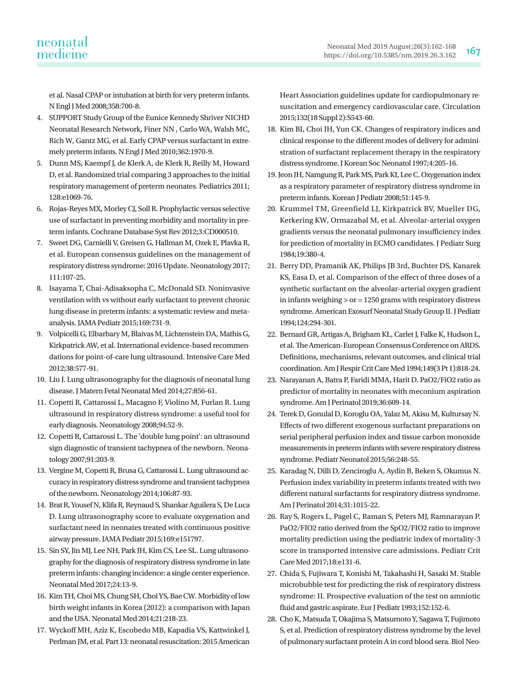### neonatal medicine

et al. Nasal CPAP or intubation at birth for very preterm infants. N Engl J Med 2008;358:700-8.

- 4. SUPPORT Study Group of the Eunice Kennedy Shriver NICHD Neonatal Research Network, Finer NN , Carlo WA, Walsh MC, Rich W, Gantz MG, et al. Early CPAP versus surfactant in extremely preterm infants. N Engl J Med 2010;362:1970-9.
- 5. Dunn MS, Kaempf J, de Klerk A, de Klerk R, Reilly M, Howard D, et al. Randomized trial comparing 3 approaches to the initial respiratory management of preterm neonates. Pediatrics 2011; 128:e1069-76.
- 6. Rojas-Reyes MX, Morley CJ, Soll R. Prophylactic versus selective use of surfactant in preventing morbidity and mortality in preterm infants. Cochrane Database Syst Rev 2012;3:CD000510.
- 7. Sweet DG, Carnielli V, Greisen G, Hallman M, Ozek E, Plavka R, et al. European consensus guidelines on the management of respiratory distress syndrome: 2016 Update. Neonatology 2017; 111:107-25.
- 8. Isayama T, Chai-Adisaksopha C, McDonald SD. Noninvasive ventilation with vs without early surfactant to prevent chronic lung disease in preterm infants: a systematic review and metaanalysis. JAMA Pediatr 2015;169:731-9.
- 9. Volpicelli G, Elbarbary M, Blaivas M, Lichtenstein DA, Mathis G, Kirkpatrick AW, et al. International evidence-based recommendations for point-of-care lung ultrasound. Intensive Care Med 2012;38:577-91.
- 10. Liu J. Lung ultrasonography for the diagnosis of neonatal lung disease. J Matern Fetal Neonatal Med 2014;27:856-61.
- 11. Copetti R, Cattarossi L, Macagno F, Violino M, Furlan R. Lung ultrasound in respiratory distress syndrome: a useful tool for early diagnosis. Neonatology 2008;94:52-9.
- 12. Copetti R, Cattarossi L. The 'double lung point': an ultrasound sign diagnostic of transient tachypnea of the newborn. Neonatology 2007;91:203-9.
- 13. Vergine M, Copetti R, Brusa G, Cattarossi L. Lung ultrasound accuracy in respiratory distress syndrome and transient tachypnea of the newborn. Neonatology 2014;106:87-93.
- 14. Brat R, Yousef N, Klifa R, Reynaud S, Shankar Aguilera S, De Luca D. Lung ultrasonography score to evaluate oxygenation and surfactant need in neonates treated with continuous positive airway pressure. JAMA Pediatr 2015;169:e151797.
- 15. Sin SY, Jin MJ, Lee NH, Park JH, Kim CS, Lee SL. Lung ultrasonography for the diagnosis of respiratory distress syndrome in late preterm infants: changing incidence: a single center experience. Neonatal Med 2017;24:13-9.
- 16. Kim TH, Choi MS, Chung SH, Choi YS, Bae CW. Morbidity of low birth weight infants in Korea (2012): a comparison with Japan and the USA. Neonatal Med 2014;21:218-23.
- 17. Wyckoff MH, Aziz K, Escobedo MB, Kapadia VS, Kattwinkel J, Perlman JM, et al. Part 13: neonatal resuscitation: 2015 American

Heart Association guidelines update for cardiopulmonary resuscitation and emergency cardiovascular care. Circulation 2015;132(18 Suppl 2):S543-60.

- 18. Kim BI, Choi JH, Yun CK. Changes of respiratory indices and clinical response to the different modes of delivery for administration of surfactant replacement therapy in the respiratory distress syndrome. J Korean Soc Neonatol 1997;4:205-16.
- 19. Jeon JH, Namgung R, Park MS, Park KI, Lee C. Oxygenation index as a respiratory parameter of respiratory distress syndrome in preterm infants. Korean J Pediatr 2008;51:145-9.
- 20. Krummel TM, Greenfield LJ, Kirkpatrick BV, Mueller DG, Kerkering KW, Ormazabal M, et al. Alveolar-arterial oxygen gradients versus the neonatal pulmonary insufficiency index for prediction of mortality in ECMO candidates. J Pediatr Surg 1984;19:380-4.
- 21. Berry DD, Pramanik AK, Philips JB 3rd, Buchter DS, Kanarek KS, Easa D, et al. Comparison of the effect of three doses of a synthetic surfactant on the alveolar-arterial oxygen gradient in infants weighing  $>$  or  $=$  1250 grams with respiratory distress syndrome. American Exosurf Neonatal Study Group II. J Pediatr 1994;124:294-301.
- 22. Bernard GR, Artigas A, Brigham KL, Carlet J, Falke K, Hudson L, et al. The American-European Consensus Conference on ARDS. Definitions, mechanisms, relevant outcomes, and clinical trial coordination. Am J Respir Crit Care Med 1994;149(3 Pt 1):818-24.
- 23. Narayanan A, Batra P, Faridi MMA, Harit D. PaO2/FiO2 ratio as predictor of mortality in neonates with meconium aspiration syndrome. Am J Perinatol 2019;36:609-14.
- 24. Terek D, Gonulal D, Koroglu OA, Yalaz M, Akisu M, Kultursay N. Effects of two different exogenous surfactant preparations on serial peripheral perfusion index and tissue carbon monoxide measurements in preterm infants with severe respiratory distress syndrome. Pediatr Neonatol 2015;56:248-55.
- 25. Karadag N, Dilli D, Zenciroglu A, Aydin B, Beken S, Okumus N. Perfusion index variability in preterm infants treated with two different natural surfactants for respiratory distress syndrome. Am J Perinatol 2014;31:1015-22.
- 26. Ray S, Rogers L, Pagel C, Raman S, Peters MJ, Ramnarayan P. PaO2/FIO2 ratio derived from the SpO2/FIO2 ratio to improve mortality prediction using the pediatric index of mortality-3 score in transported intensive care admissions. Pediatr Crit Care Med 2017;18:e131-6.
- 27. Chida S, Fujiwara T, Konishi M, Takahashi H, Sasaki M. Stable microbubble test for predicting the risk of respiratory distress syndrome: II. Prospective evaluation of the test on amniotic fluid and gastric aspirate. Eur J Pediatr 1993;152:152-6.
- 28. Cho K, Matsuda T, Okajima S, Matsumoto Y, Sagawa T, Fujimoto S, et al. Prediction of respiratory distress syndrome by the level of pulmonary surfactant protein A in cord blood sera. Biol Neo-